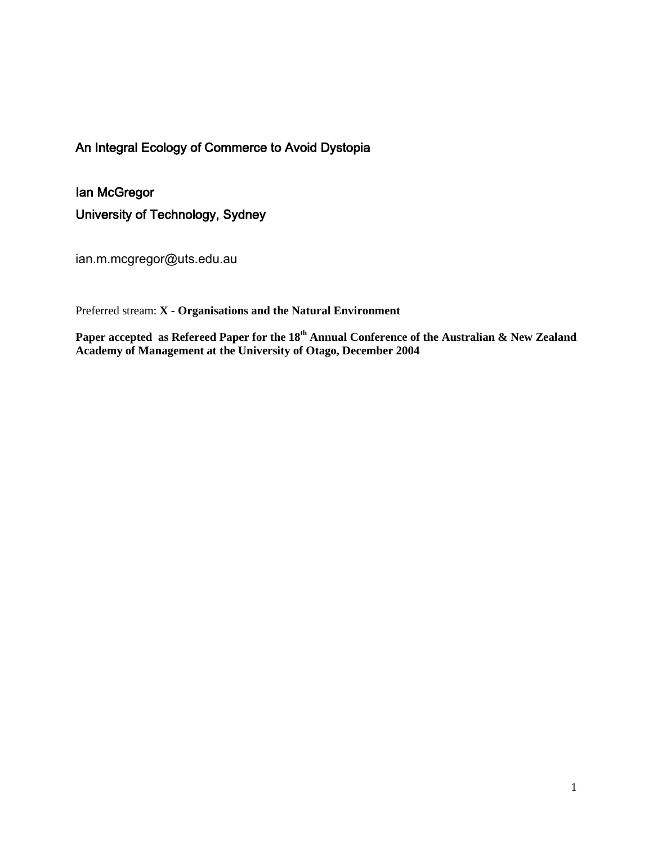### An Integral Ecology of Commerce to Avoid Dystopia

Ian McGregor University of Technology, Sydney

ian.m.mcgregor@uts.edu.au

Preferred stream: **X - Organisations and the Natural Environment**

**Paper accepted as Refereed Paper for the 18th Annual Conference of the Australian & New Zealand Academy of Management at the University of Otago, December 2004**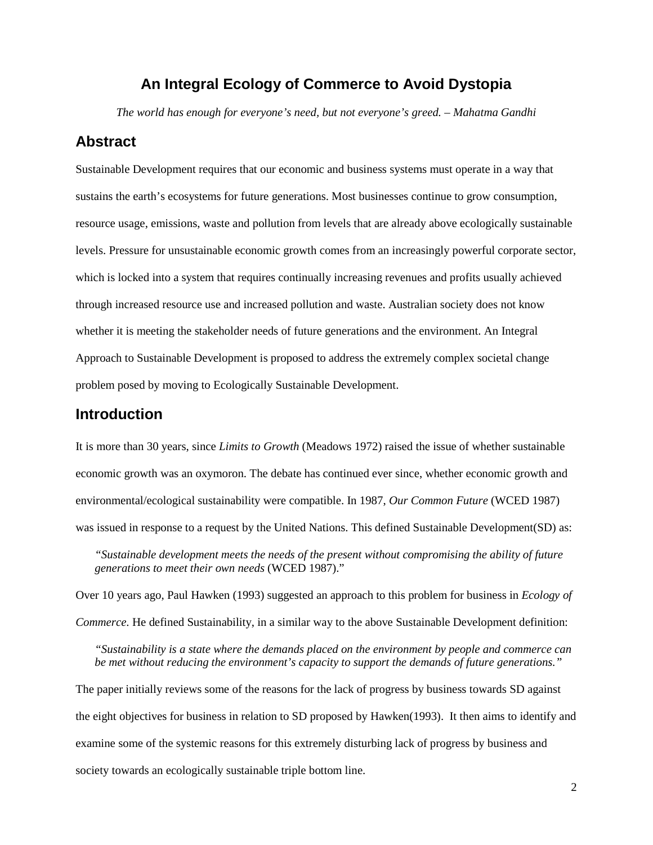### **An Integral Ecology of Commerce to Avoid Dystopia**

*The world has enough for everyone's need, but not everyone's greed. – Mahatma Gandhi*

### **Abstract**

Sustainable Development requires that our economic and business systems must operate in a way that sustains the earth's ecosystems for future generations. Most businesses continue to grow consumption, resource usage, emissions, waste and pollution from levels that are already above ecologically sustainable levels. Pressure for unsustainable economic growth comes from an increasingly powerful corporate sector, which is locked into a system that requires continually increasing revenues and profits usually achieved through increased resource use and increased pollution and waste. Australian society does not know whether it is meeting the stakeholder needs of future generations and the environment. An Integral Approach to Sustainable Development is proposed to address the extremely complex societal change problem posed by moving to Ecologically Sustainable Development.

### **Introduction**

It is more than 30 years, since *Limits to Growth* (Meadows 1972) raised the issue of whether sustainable economic growth was an oxymoron. The debate has continued ever since, whether economic growth and environmental/ecological sustainability were compatible. In 1987, *Our Common Future* (WCED 1987) was issued in response to a request by the United Nations. This defined Sustainable Development(SD) as:

*"Sustainable development meets the needs of the present without compromising the ability of future generations to meet their own needs* (WCED 1987)."

Over 10 years ago, Paul Hawken (1993) suggested an approach to this problem for business in *Ecology of Commerce.* He defined Sustainability, in a similar way to the above Sustainable Development definition:

*"Sustainability is a state where the demands placed on the environment by people and commerce can be met without reducing the environment's capacity to support the demands of future generations."*

The paper initially reviews some of the reasons for the lack of progress by business towards SD against the eight objectives for business in relation to SD proposed by Hawken(1993). It then aims to identify and examine some of the systemic reasons for this extremely disturbing lack of progress by business and society towards an ecologically sustainable triple bottom line.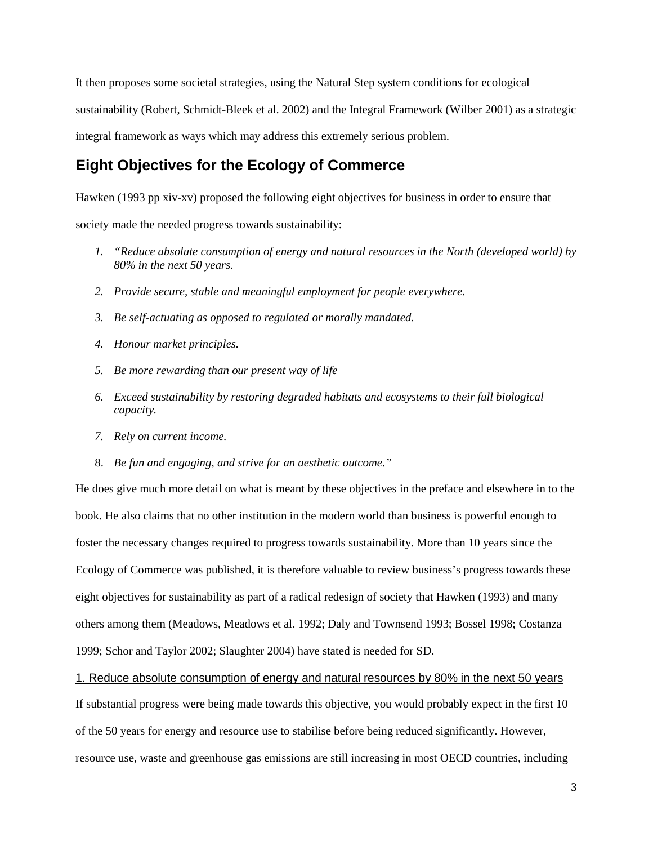It then proposes some societal strategies, using the Natural Step system conditions for ecological sustainability (Robert, Schmidt-Bleek et al. 2002) and the Integral Framework (Wilber 2001) as a strategic integral framework as ways which may address this extremely serious problem.

# **Eight Objectives for the Ecology of Commerce**

Hawken (1993 pp xiv-xv) proposed the following eight objectives for business in order to ensure that

society made the needed progress towards sustainability:

- *1. "Reduce absolute consumption of energy and natural resources in the North (developed world) by 80% in the next 50 years.*
- *2. Provide secure, stable and meaningful employment for people everywhere.*
- *3. Be self-actuating as opposed to regulated or morally mandated.*
- *4. Honour market principles.*
- *5. Be more rewarding than our present way of life*
- *6. Exceed sustainability by restoring degraded habitats and ecosystems to their full biological capacity.*
- *7. Rely on current income.*
- 8. *Be fun and engaging, and strive for an aesthetic outcome."*

He does give much more detail on what is meant by these objectives in the preface and elsewhere in to the book. He also claims that no other institution in the modern world than business is powerful enough to foster the necessary changes required to progress towards sustainability. More than 10 years since the Ecology of Commerce was published, it is therefore valuable to review business's progress towards these eight objectives for sustainability as part of a radical redesign of society that Hawken (1993) and many others among them (Meadows, Meadows et al. 1992; Daly and Townsend 1993; Bossel 1998; Costanza 1999; Schor and Taylor 2002; Slaughter 2004) have stated is needed for SD.

1. Reduce absolute consumption of energy and natural resources by 80% in the next 50 years

If substantial progress were being made towards this objective, you would probably expect in the first 10 of the 50 years for energy and resource use to stabilise before being reduced significantly. However, resource use, waste and greenhouse gas emissions are still increasing in most OECD countries, including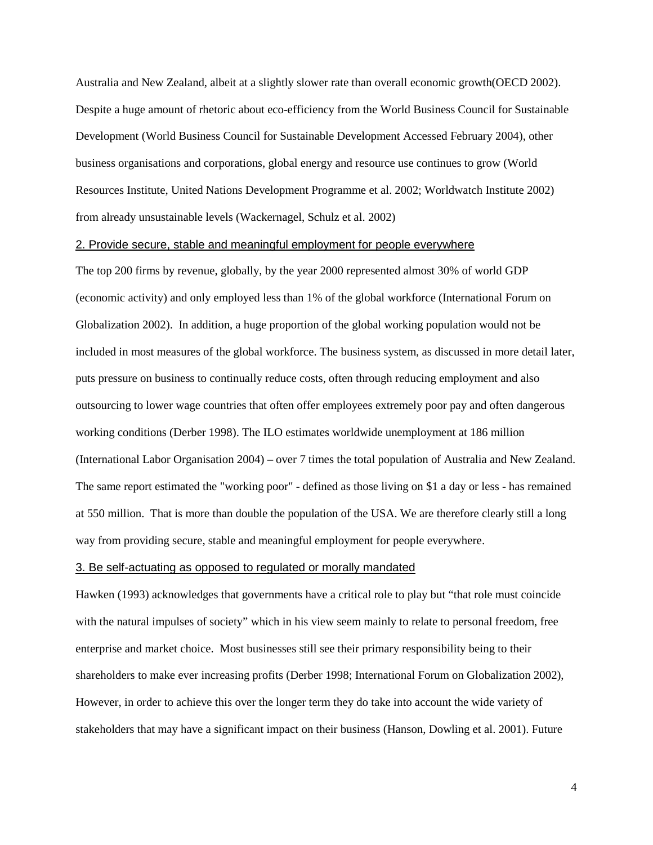Australia and New Zealand, albeit at a slightly slower rate than overall economic growth(OECD 2002). Despite a huge amount of rhetoric about eco-efficiency from the World Business Council for Sustainable Development (World Business Council for Sustainable Development Accessed February 2004), other business organisations and corporations, global energy and resource use continues to grow (World Resources Institute, United Nations Development Programme et al. 2002; Worldwatch Institute 2002) from already unsustainable levels (Wackernagel, Schulz et al. 2002)

#### 2. Provide secure, stable and meaningful employment for people everywhere

The top 200 firms by revenue, globally, by the year 2000 represented almost 30% of world GDP (economic activity) and only employed less than 1% of the global workforce (International Forum on Globalization 2002). In addition, a huge proportion of the global working population would not be included in most measures of the global workforce. The business system, as discussed in more detail later, puts pressure on business to continually reduce costs, often through reducing employment and also outsourcing to lower wage countries that often offer employees extremely poor pay and often dangerous working conditions (Derber 1998). The ILO estimates worldwide unemployment at 186 million (International Labor Organisation 2004) – over 7 times the total population of Australia and New Zealand. The same report estimated the "working poor" - defined as those living on \$1 a day or less - has remained at 550 million. That is more than double the population of the USA. We are therefore clearly still a long way from providing secure, stable and meaningful employment for people everywhere.

#### 3. Be self-actuating as opposed to regulated or morally mandated

Hawken (1993) acknowledges that governments have a critical role to play but "that role must coincide with the natural impulses of society" which in his view seem mainly to relate to personal freedom, free enterprise and market choice. Most businesses still see their primary responsibility being to their shareholders to make ever increasing profits (Derber 1998; International Forum on Globalization 2002), However, in order to achieve this over the longer term they do take into account the wide variety of stakeholders that may have a significant impact on their business (Hanson, Dowling et al. 2001). Future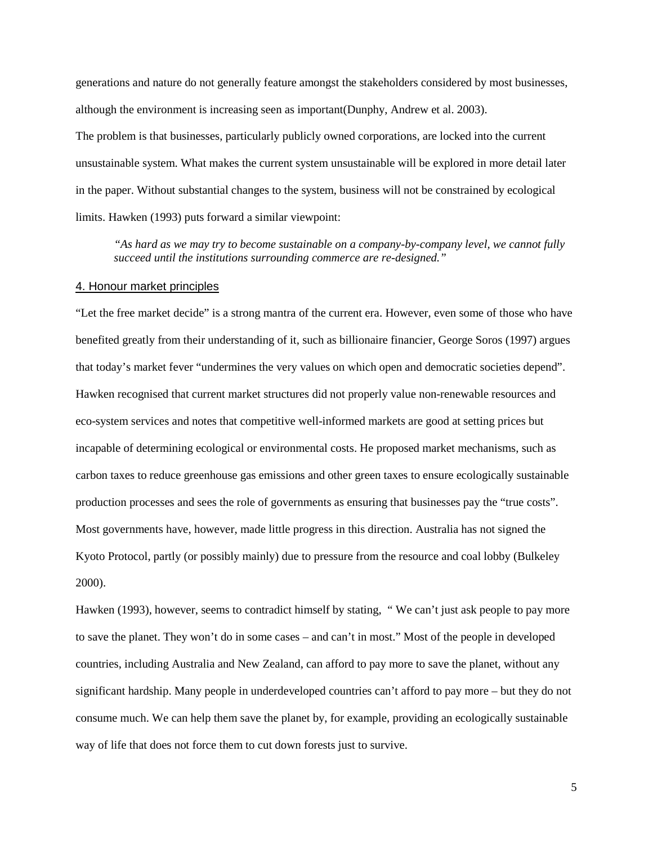generations and nature do not generally feature amongst the stakeholders considered by most businesses, although the environment is increasing seen as important(Dunphy, Andrew et al. 2003). The problem is that businesses, particularly publicly owned corporations, are locked into the current unsustainable system. What makes the current system unsustainable will be explored in more detail later in the paper. Without substantial changes to the system, business will not be constrained by ecological limits. Hawken (1993) puts forward a similar viewpoint:

*"As hard as we may try to become sustainable on a company-by-company level, we cannot fully succeed until the institutions surrounding commerce are re-designed."*

#### 4. Honour market principles

"Let the free market decide" is a strong mantra of the current era. However, even some of those who have benefited greatly from their understanding of it, such as billionaire financier, George Soros (1997) argues that today's market fever "undermines the very values on which open and democratic societies depend". Hawken recognised that current market structures did not properly value non-renewable resources and eco-system services and notes that competitive well-informed markets are good at setting prices but incapable of determining ecological or environmental costs. He proposed market mechanisms, such as carbon taxes to reduce greenhouse gas emissions and other green taxes to ensure ecologically sustainable production processes and sees the role of governments as ensuring that businesses pay the "true costs". Most governments have, however, made little progress in this direction. Australia has not signed the Kyoto Protocol, partly (or possibly mainly) due to pressure from the resource and coal lobby (Bulkeley 2000).

Hawken (1993), however, seems to contradict himself by stating, "We can't just ask people to pay more to save the planet. They won't do in some cases – and can't in most." Most of the people in developed countries, including Australia and New Zealand, can afford to pay more to save the planet, without any significant hardship. Many people in underdeveloped countries can't afford to pay more – but they do not consume much. We can help them save the planet by, for example, providing an ecologically sustainable way of life that does not force them to cut down forests just to survive.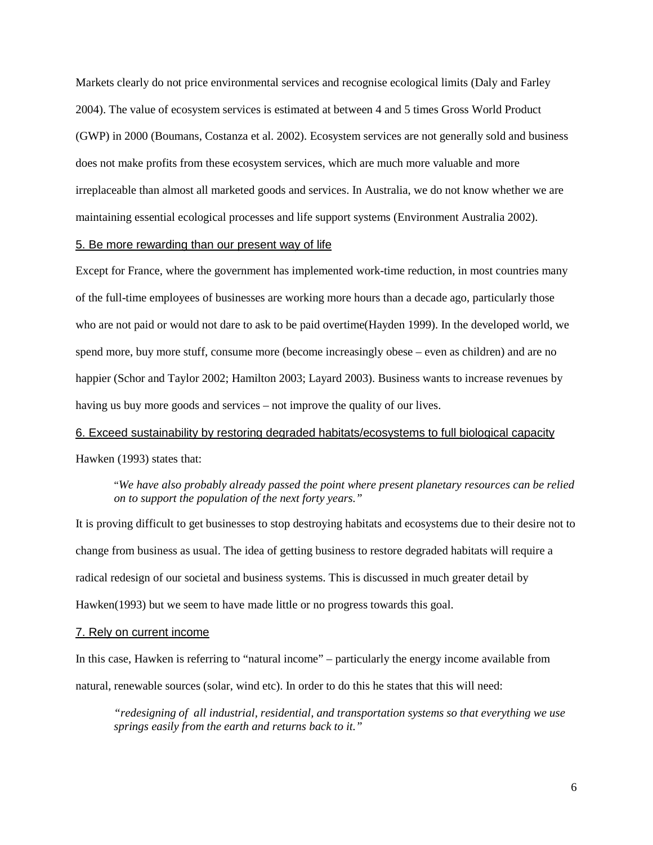Markets clearly do not price environmental services and recognise ecological limits (Daly and Farley 2004). The value of ecosystem services is estimated at between 4 and 5 times Gross World Product (GWP) in 2000 (Boumans, Costanza et al. 2002). Ecosystem services are not generally sold and business does not make profits from these ecosystem services, which are much more valuable and more irreplaceable than almost all marketed goods and services. In Australia, we do not know whether we are maintaining essential ecological processes and life support systems (Environment Australia 2002).

#### 5. Be more rewarding than our present way of life

Except for France, where the government has implemented work-time reduction, in most countries many of the full-time employees of businesses are working more hours than a decade ago, particularly those who are not paid or would not dare to ask to be paid overtime(Hayden 1999). In the developed world, we spend more, buy more stuff, consume more (become increasingly obese – even as children) and are no happier (Schor and Taylor 2002; Hamilton 2003; Layard 2003). Business wants to increase revenues by having us buy more goods and services – not improve the quality of our lives.

# 6. Exceed sustainability by restoring degraded habitats/ecosystems to full biological capacity

Hawken (1993) states that:

#### "*We have also probably already passed the point where present planetary resources can be relied on to support the population of the next forty years."*

It is proving difficult to get businesses to stop destroying habitats and ecosystems due to their desire not to change from business as usual. The idea of getting business to restore degraded habitats will require a radical redesign of our societal and business systems. This is discussed in much greater detail by Hawken(1993) but we seem to have made little or no progress towards this goal.

#### 7. Rely on current income

In this case, Hawken is referring to "natural income" – particularly the energy income available from natural, renewable sources (solar, wind etc). In order to do this he states that this will need:

*"redesigning of all industrial, residential, and transportation systems so that everything we use springs easily from the earth and returns back to it."*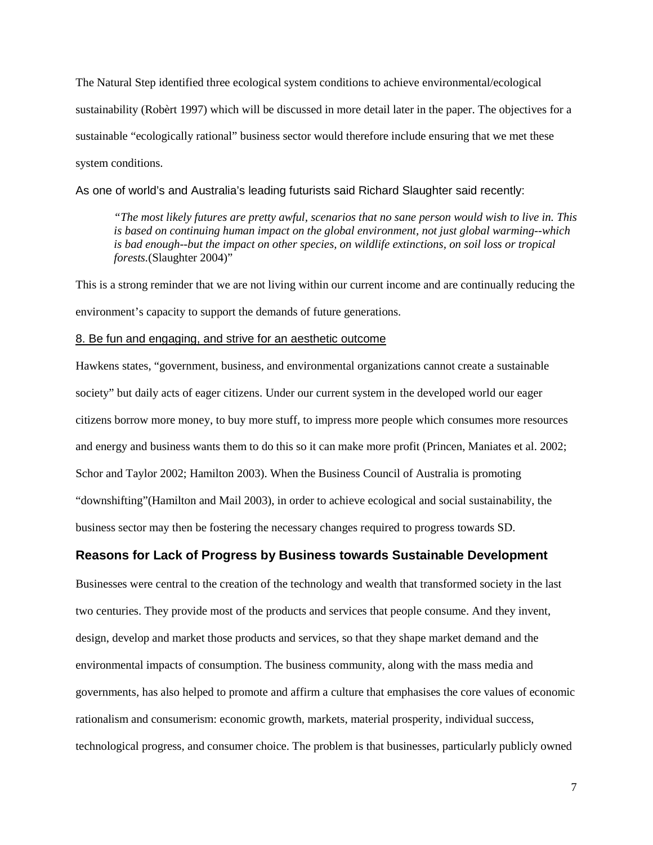The Natural Step identified three ecological system conditions to achieve environmental/ecological sustainability (Robèrt 1997) which will be discussed in more detail later in the paper. The objectives for a sustainable "ecologically rational" business sector would therefore include ensuring that we met these system conditions.

As one of world's and Australia's leading futurists said Richard Slaughter said recently:

*"The most likely futures are pretty awful, scenarios that no sane person would wish to live in. This is based on continuing human impact on the global environment, not just global warming--which is bad enough--but the impact on other species, on wildlife extinctions, on soil loss or tropical forests.*(Slaughter 2004)"

This is a strong reminder that we are not living within our current income and are continually reducing the environment's capacity to support the demands of future generations.

#### 8. Be fun and engaging, and strive for an aesthetic outcome

Hawkens states, "government, business, and environmental organizations cannot create a sustainable society" but daily acts of eager citizens. Under our current system in the developed world our eager citizens borrow more money, to buy more stuff, to impress more people which consumes more resources and energy and business wants them to do this so it can make more profit (Princen, Maniates et al. 2002; Schor and Taylor 2002; Hamilton 2003). When the Business Council of Australia is promoting "downshifting"(Hamilton and Mail 2003), in order to achieve ecological and social sustainability, the business sector may then be fostering the necessary changes required to progress towards SD.

### **Reasons for Lack of Progress by Business towards Sustainable Development**

Businesses were central to the creation of the technology and wealth that transformed society in the last two centuries. They provide most of the products and services that people consume. And they invent, design, develop and market those products and services, so that they shape market demand and the environmental impacts of consumption. The business community, along with the mass media and governments, has also helped to promote and affirm a culture that emphasises the core values of economic rationalism and consumerism: economic growth, markets, material prosperity, individual success, technological progress, and consumer choice. The problem is that businesses, particularly publicly owned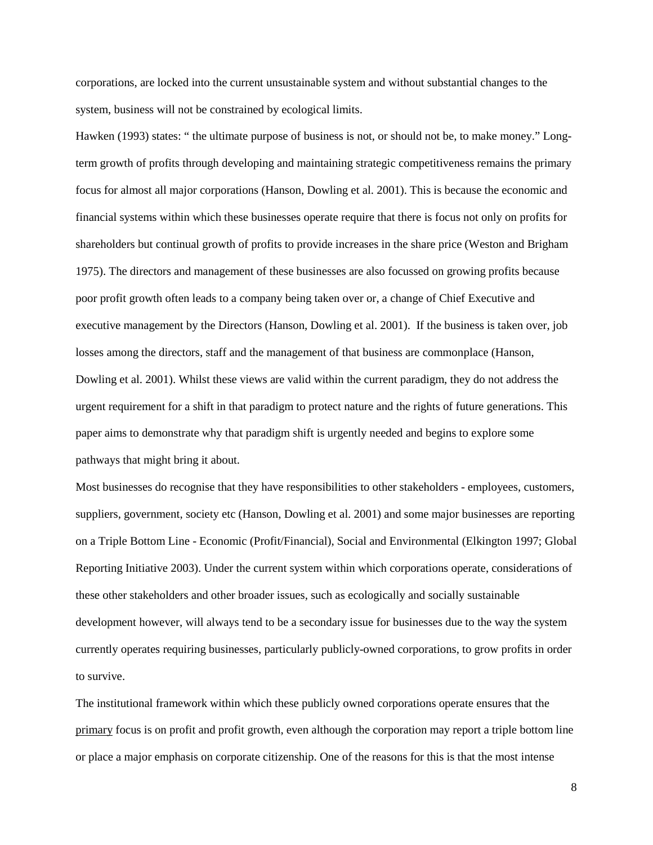corporations, are locked into the current unsustainable system and without substantial changes to the system, business will not be constrained by ecological limits.

Hawken (1993) states: " the ultimate purpose of business is not, or should not be, to make money." Longterm growth of profits through developing and maintaining strategic competitiveness remains the primary focus for almost all major corporations (Hanson, Dowling et al. 2001). This is because the economic and financial systems within which these businesses operate require that there is focus not only on profits for shareholders but continual growth of profits to provide increases in the share price (Weston and Brigham 1975). The directors and management of these businesses are also focussed on growing profits because poor profit growth often leads to a company being taken over or, a change of Chief Executive and executive management by the Directors (Hanson, Dowling et al. 2001). If the business is taken over, job losses among the directors, staff and the management of that business are commonplace (Hanson, Dowling et al. 2001). Whilst these views are valid within the current paradigm, they do not address the urgent requirement for a shift in that paradigm to protect nature and the rights of future generations. This paper aims to demonstrate why that paradigm shift is urgently needed and begins to explore some pathways that might bring it about.

Most businesses do recognise that they have responsibilities to other stakeholders - employees, customers, suppliers, government, society etc (Hanson, Dowling et al. 2001) and some major businesses are reporting on a Triple Bottom Line - Economic (Profit/Financial), Social and Environmental (Elkington 1997; Global Reporting Initiative 2003). Under the current system within which corporations operate, considerations of these other stakeholders and other broader issues, such as ecologically and socially sustainable development however, will always tend to be a secondary issue for businesses due to the way the system currently operates requiring businesses, particularly publicly-owned corporations, to grow profits in order to survive.

The institutional framework within which these publicly owned corporations operate ensures that the primary focus is on profit and profit growth, even although the corporation may report a triple bottom line or place a major emphasis on corporate citizenship. One of the reasons for this is that the most intense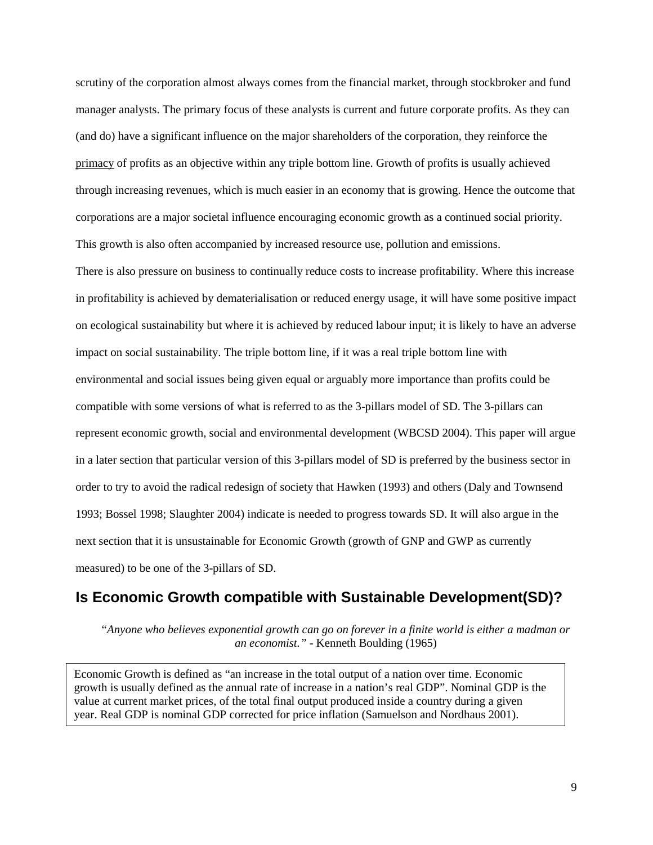scrutiny of the corporation almost always comes from the financial market, through stockbroker and fund manager analysts. The primary focus of these analysts is current and future corporate profits. As they can (and do) have a significant influence on the major shareholders of the corporation, they reinforce the primacy of profits as an objective within any triple bottom line. Growth of profits is usually achieved through increasing revenues, which is much easier in an economy that is growing. Hence the outcome that corporations are a major societal influence encouraging economic growth as a continued social priority. This growth is also often accompanied by increased resource use, pollution and emissions.

There is also pressure on business to continually reduce costs to increase profitability. Where this increase in profitability is achieved by dematerialisation or reduced energy usage, it will have some positive impact on ecological sustainability but where it is achieved by reduced labour input; it is likely to have an adverse impact on social sustainability. The triple bottom line, if it was a real triple bottom line with environmental and social issues being given equal or arguably more importance than profits could be compatible with some versions of what is referred to as the 3-pillars model of SD. The 3-pillars can represent economic growth, social and environmental development (WBCSD 2004). This paper will argue in a later section that particular version of this 3-pillars model of SD is preferred by the business sector in order to try to avoid the radical redesign of society that Hawken (1993) and others (Daly and Townsend 1993; Bossel 1998; Slaughter 2004) indicate is needed to progress towards SD. It will also argue in the next section that it is unsustainable for Economic Growth (growth of GNP and GWP as currently measured) to be one of the 3-pillars of SD.

### **Is Economic Growth compatible with Sustainable Development(SD)?**

"*Anyone who believes exponential growth can go on forever in a finite world is either a madman or an economist."* - Kenneth Boulding (1965)

Economic Growth is defined as "an increase in the total output of a nation over time. Economic growth is usually defined as the annual rate of increase in a nation's real GDP". Nominal GDP is the value at current market prices, of the total final output produced inside a country during a given year. Real GDP is nominal GDP corrected for price inflation (Samuelson and Nordhaus 2001).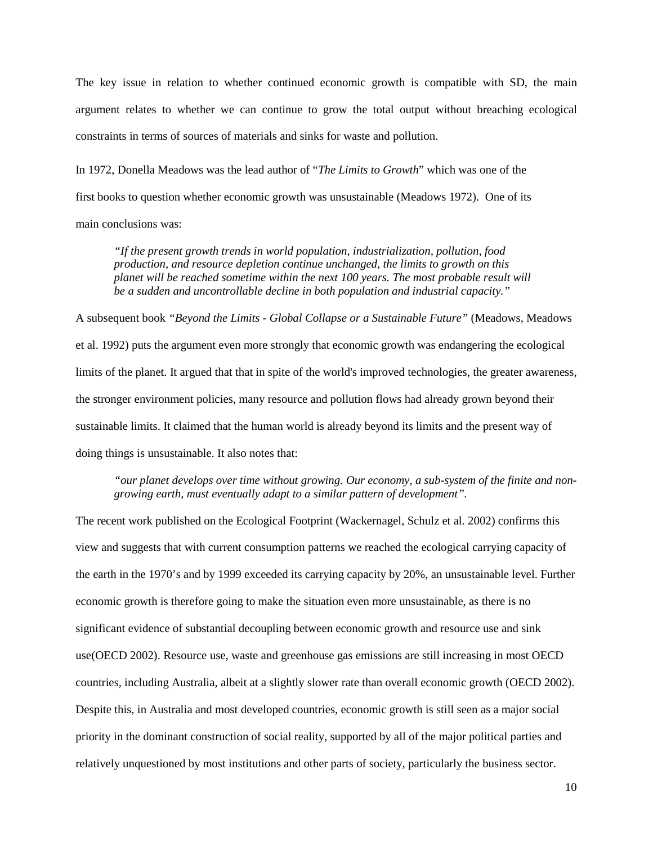The key issue in relation to whether continued economic growth is compatible with SD, the main argument relates to whether we can continue to grow the total output without breaching ecological constraints in terms of sources of materials and sinks for waste and pollution.

In 1972, Donella Meadows was the lead author of "*The Limits to Growth*" which was one of the first books to question whether economic growth was unsustainable (Meadows 1972). One of its main conclusions was:

*"If the present growth trends in world population, industrialization, pollution, food production, and resource depletion continue unchanged, the limits to growth on this planet will be reached sometime within the next 100 years. The most probable result will be a sudden and uncontrollable decline in both population and industrial capacity."*

A subsequent book *"Beyond the Limits - Global Collapse or a Sustainable Future"* (Meadows, Meadows et al. 1992) puts the argument even more strongly that economic growth was endangering the ecological limits of the planet. It argued that that in spite of the world's improved technologies, the greater awareness, the stronger environment policies, many resource and pollution flows had already grown beyond their sustainable limits. It claimed that the human world is already beyond its limits and the present way of doing things is unsustainable. It also notes that:

*"our planet develops over time without growing. Our economy, a sub-system of the finite and nongrowing earth, must eventually adapt to a similar pattern of development".*

The recent work published on the Ecological Footprint (Wackernagel, Schulz et al. 2002) confirms this view and suggests that with current consumption patterns we reached the ecological carrying capacity of the earth in the 1970's and by 1999 exceeded its carrying capacity by 20%, an unsustainable level. Further economic growth is therefore going to make the situation even more unsustainable, as there is no significant evidence of substantial decoupling between economic growth and resource use and sink use(OECD 2002). Resource use, waste and greenhouse gas emissions are still increasing in most OECD countries, including Australia, albeit at a slightly slower rate than overall economic growth (OECD 2002). Despite this, in Australia and most developed countries, economic growth is still seen as a major social priority in the dominant construction of social reality, supported by all of the major political parties and relatively unquestioned by most institutions and other parts of society, particularly the business sector.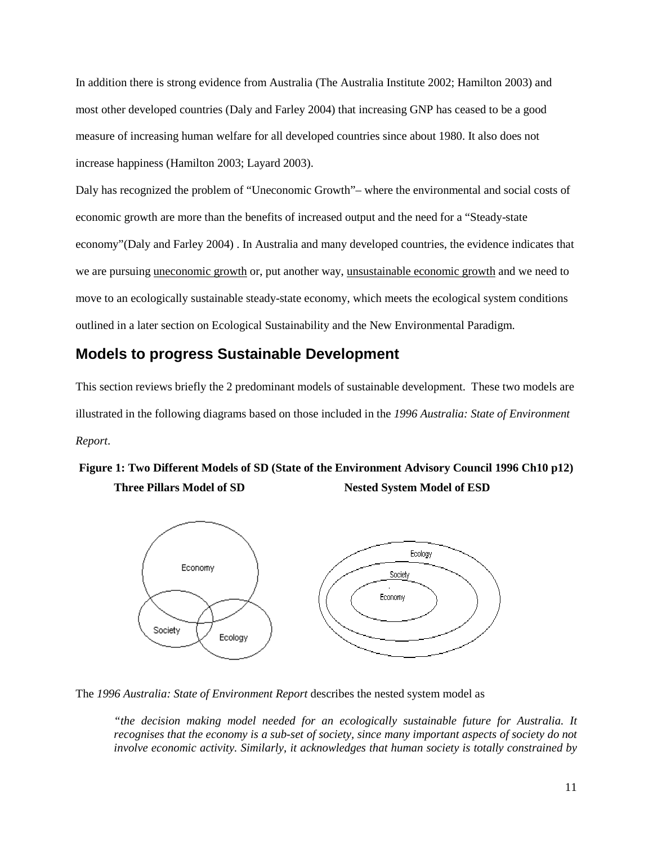In addition there is strong evidence from Australia (The Australia Institute 2002; Hamilton 2003) and most other developed countries (Daly and Farley 2004) that increasing GNP has ceased to be a good measure of increasing human welfare for all developed countries since about 1980. It also does not increase happiness (Hamilton 2003; Layard 2003).

Daly has recognized the problem of "Uneconomic Growth"– where the environmental and social costs of economic growth are more than the benefits of increased output and the need for a "Steady-state economy"(Daly and Farley 2004) . In Australia and many developed countries, the evidence indicates that we are pursuing uneconomic growth or, put another way, unsustainable economic growth and we need to move to an ecologically sustainable steady-state economy, which meets the ecological system conditions outlined in a later section on Ecological Sustainability and the New Environmental Paradigm.

## **Models to progress Sustainable Development**

This section reviews briefly the 2 predominant models of sustainable development. These two models are illustrated in the following diagrams based on those included in the *1996 Australia: State of Environment Report*.

# **Figure 1: Two Different Models of SD (State of the Environment Advisory Council 1996 Ch10 p12) Three Pillars Model of SD Nested System Model of ESD**



The *1996 Australia: State of Environment Report* describes the nested system model as

*"the decision making model needed for an ecologically sustainable future for Australia. It recognises that the economy is a sub-set of society, since many important aspects of society do not involve economic activity. Similarly, it acknowledges that human society is totally constrained by*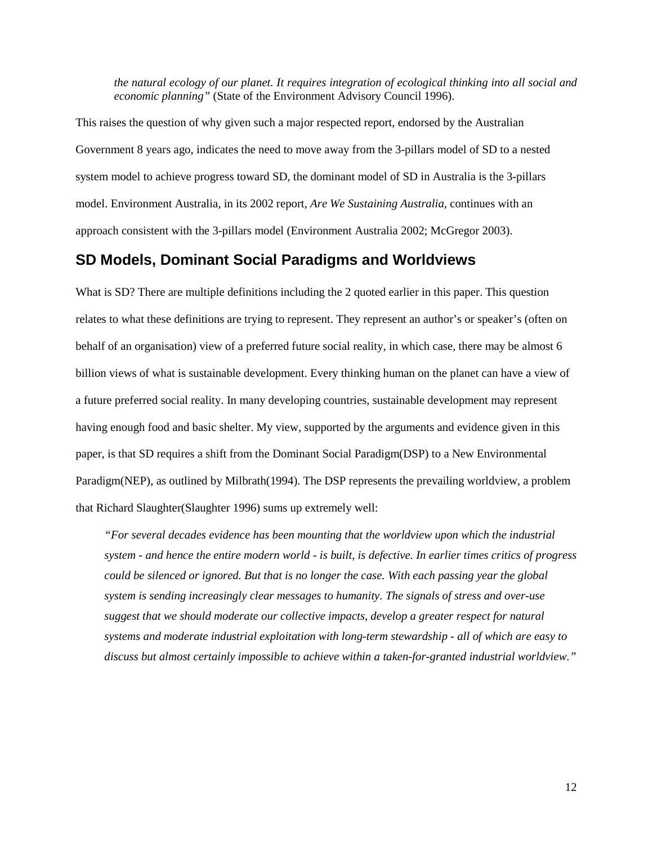*the natural ecology of our planet. It requires integration of ecological thinking into all social and economic planning"* (State of the Environment Advisory Council 1996).

This raises the question of why given such a major respected report, endorsed by the Australian Government 8 years ago, indicates the need to move away from the 3-pillars model of SD to a nested system model to achieve progress toward SD, the dominant model of SD in Australia is the 3-pillars model. Environment Australia, in its 2002 report, *Are We Sustaining Australia*, continues with an approach consistent with the 3-pillars model (Environment Australia 2002; McGregor 2003).

### **SD Models, Dominant Social Paradigms and Worldviews**

What is SD? There are multiple definitions including the 2 quoted earlier in this paper. This question relates to what these definitions are trying to represent. They represent an author's or speaker's (often on behalf of an organisation) view of a preferred future social reality, in which case, there may be almost 6 billion views of what is sustainable development. Every thinking human on the planet can have a view of a future preferred social reality. In many developing countries, sustainable development may represent having enough food and basic shelter. My view, supported by the arguments and evidence given in this paper, is that SD requires a shift from the Dominant Social Paradigm(DSP) to a New Environmental Paradigm(NEP), as outlined by Milbrath(1994). The DSP represents the prevailing worldview, a problem that Richard Slaughter(Slaughter 1996) sums up extremely well:

*"For several decades evidence has been mounting that the worldview upon which the industrial system - and hence the entire modern world - is built, is defective. In earlier times critics of progress could be silenced or ignored. But that is no longer the case. With each passing year the global system is sending increasingly clear messages to humanity. The signals of stress and over-use suggest that we should moderate our collective impacts, develop a greater respect for natural systems and moderate industrial exploitation with long-term stewardship - all of which are easy to discuss but almost certainly impossible to achieve within a taken-for-granted industrial worldview."*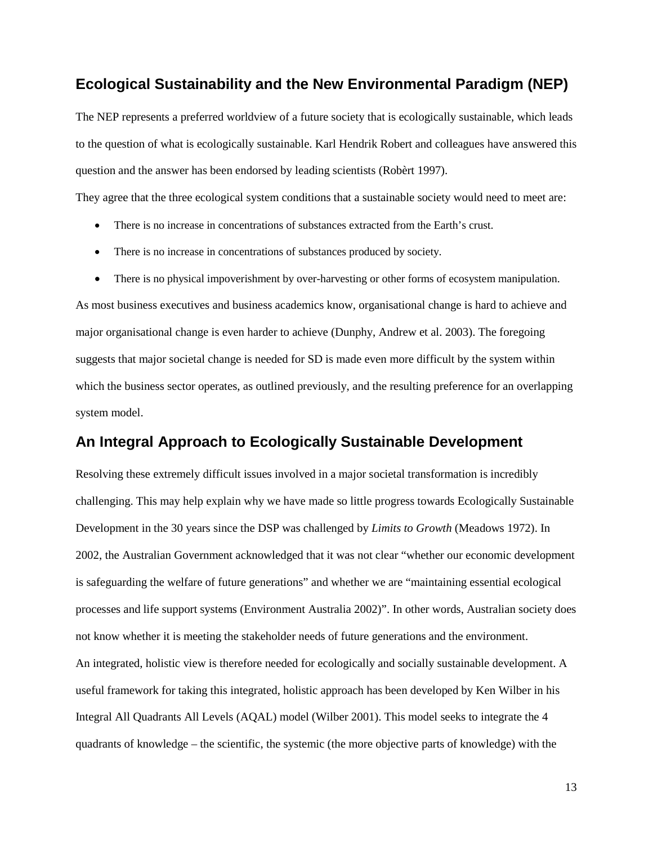### **Ecological Sustainability and the New Environmental Paradigm (NEP)**

The NEP represents a preferred worldview of a future society that is ecologically sustainable, which leads to the question of what is ecologically sustainable. Karl Hendrik Robert and colleagues have answered this question and the answer has been endorsed by leading scientists (Robèrt 1997).

They agree that the three ecological system conditions that a sustainable society would need to meet are:

- There is no increase in concentrations of substances extracted from the Earth's crust.
- There is no increase in concentrations of substances produced by society.
- There is no physical impoverishment by over-harvesting or other forms of ecosystem manipulation.

As most business executives and business academics know, organisational change is hard to achieve and major organisational change is even harder to achieve (Dunphy, Andrew et al. 2003). The foregoing suggests that major societal change is needed for SD is made even more difficult by the system within which the business sector operates, as outlined previously, and the resulting preference for an overlapping system model.

### **An Integral Approach to Ecologically Sustainable Development**

Resolving these extremely difficult issues involved in a major societal transformation is incredibly challenging. This may help explain why we have made so little progress towards Ecologically Sustainable Development in the 30 years since the DSP was challenged by *Limits to Growth* (Meadows 1972). In 2002, the Australian Government acknowledged that it was not clear "whether our economic development is safeguarding the welfare of future generations" and whether we are "maintaining essential ecological processes and life support systems (Environment Australia 2002)". In other words, Australian society does not know whether it is meeting the stakeholder needs of future generations and the environment. An integrated, holistic view is therefore needed for ecologically and socially sustainable development. A useful framework for taking this integrated, holistic approach has been developed by Ken Wilber in his Integral All Quadrants All Levels (AQAL) model (Wilber 2001). This model seeks to integrate the 4 quadrants of knowledge – the scientific, the systemic (the more objective parts of knowledge) with the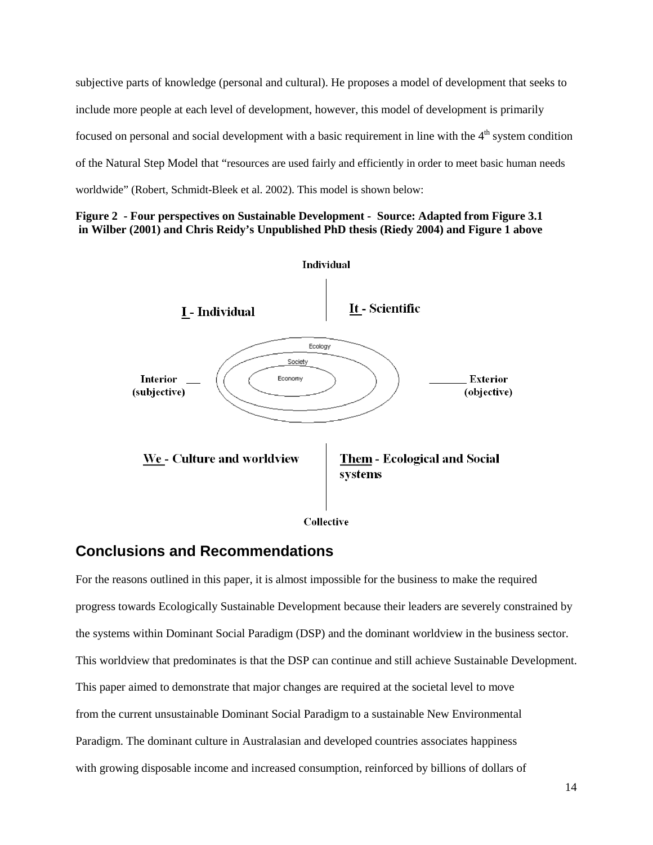subjective parts of knowledge (personal and cultural). He proposes a model of development that seeks to include more people at each level of development, however, this model of development is primarily focused on personal and social development with a basic requirement in line with the  $4<sup>th</sup>$  system condition of the Natural Step Model that "resources are used fairly and efficiently in order to meet basic human needs worldwide" (Robert, Schmidt-Bleek et al. 2002). This model is shown below:





### **Conclusions and Recommendations**

For the reasons outlined in this paper, it is almost impossible for the business to make the required progress towards Ecologically Sustainable Development because their leaders are severely constrained by the systems within Dominant Social Paradigm (DSP) and the dominant worldview in the business sector. This worldview that predominates is that the DSP can continue and still achieve Sustainable Development. This paper aimed to demonstrate that major changes are required at the societal level to move from the current unsustainable Dominant Social Paradigm to a sustainable New Environmental Paradigm. The dominant culture in Australasian and developed countries associates happiness with growing disposable income and increased consumption, reinforced by billions of dollars of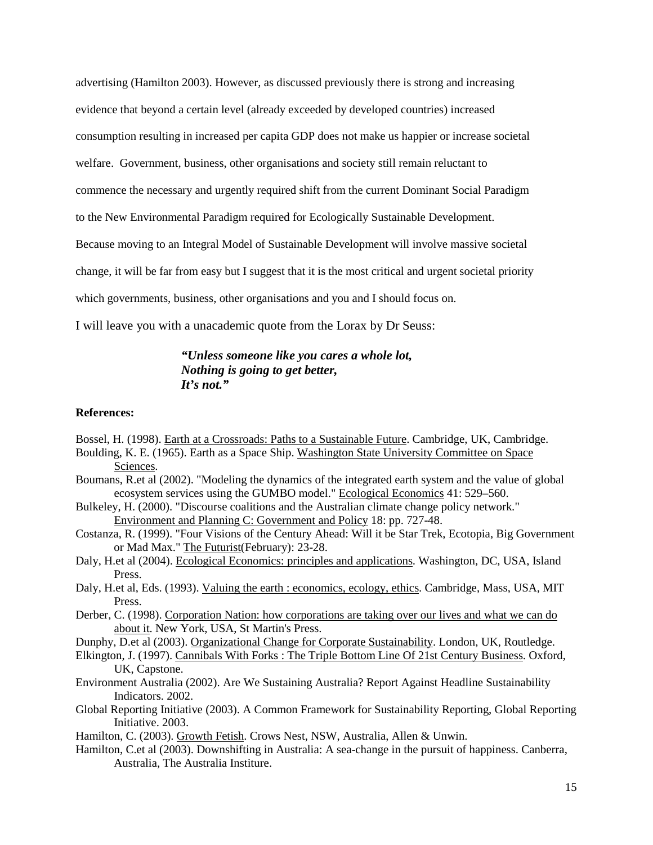advertising (Hamilton 2003). However, as discussed previously there is strong and increasing evidence that beyond a certain level (already exceeded by developed countries) increased consumption resulting in increased per capita GDP does not make us happier or increase societal welfare. Government, business, other organisations and society still remain reluctant to commence the necessary and urgently required shift from the current Dominant Social Paradigm to the New Environmental Paradigm required for Ecologically Sustainable Development. Because moving to an Integral Model of Sustainable Development will involve massive societal change, it will be far from easy but I suggest that it is the most critical and urgent societal priority which governments, business, other organisations and you and I should focus on.

I will leave you with a unacademic quote from the Lorax by Dr Seuss:

### *"Unless someone like you cares a whole lot, Nothing is going to get better,*  $I_t$ <sup>2</sup>  $I_t$ <sup>2</sup>

### **References:**

- Bossel, H. (1998). Earth at a Crossroads: Paths to a Sustainable Future. Cambridge, UK, Cambridge.
- Boulding, K. E. (1965). Earth as a Space Ship. Washington State University Committee on Space Sciences.
- Boumans, R.et al (2002). "Modeling the dynamics of the integrated earth system and the value of global ecosystem services using the GUMBO model." Ecological Economics 41: 529–560.
- Bulkeley, H. (2000). "Discourse coalitions and the Australian climate change policy network." Environment and Planning C: Government and Policy 18: pp. 727-48.
- Costanza, R. (1999). "Four Visions of the Century Ahead: Will it be Star Trek, Ecotopia, Big Government or Mad Max." The Futurist(February): 23-28.
- Daly, H.et al (2004). Ecological Economics: principles and applications. Washington, DC, USA, Island Press.
- Daly, H.et al, Eds. (1993). Valuing the earth : economics, ecology, ethics. Cambridge, Mass, USA, MIT Press.
- Derber, C. (1998). Corporation Nation: how corporations are taking over our lives and what we can do about it. New York, USA, St Martin's Press.
- Dunphy, D.et al (2003). Organizational Change for Corporate Sustainability. London, UK, Routledge.
- Elkington, J. (1997). Cannibals With Forks : The Triple Bottom Line Of 21st Century Business. Oxford, UK, Capstone.
- Environment Australia (2002). Are We Sustaining Australia? Report Against Headline Sustainability Indicators. 2002.
- Global Reporting Initiative (2003). A Common Framework for Sustainability Reporting, Global Reporting Initiative. 2003.
- Hamilton, C. (2003). Growth Fetish. Crows Nest, NSW, Australia, Allen & Unwin.
- Hamilton, C.et al (2003). Downshifting in Australia: A sea-change in the pursuit of happiness. Canberra, Australia, The Australia Institure.